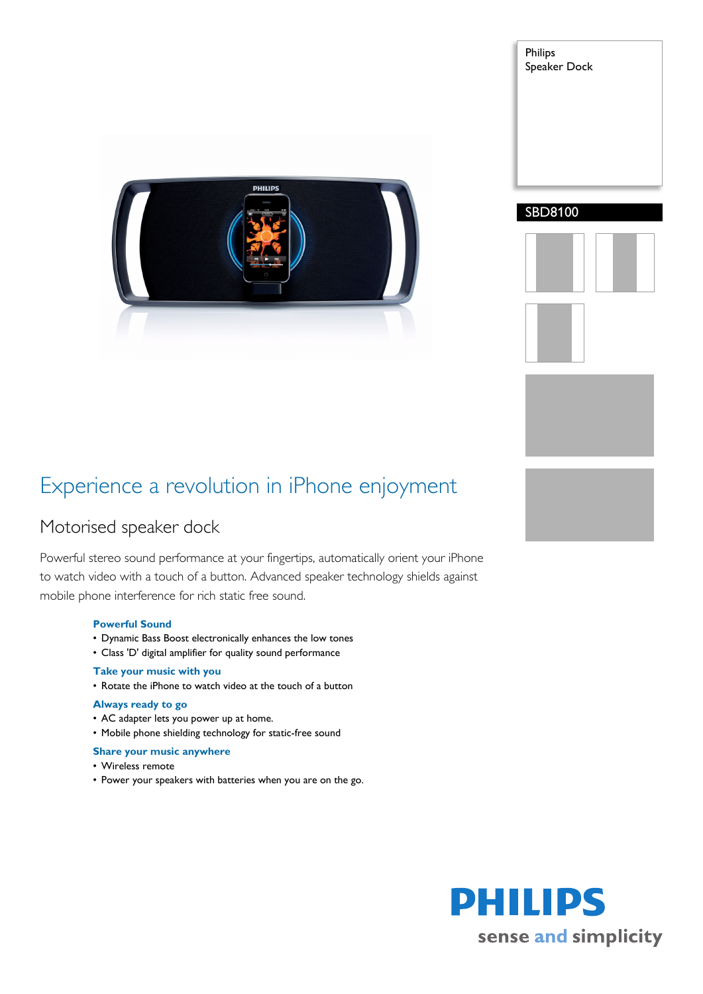

## Experience a revolution in iPhone enjoyment

### Motorised speaker dock

Powerful stereo sound performance at your fingertips, automatically orient your iPhone to watch video with a touch of a button. Advanced speaker technology shields against mobile phone interference for rich static free sound.

#### **Powerful Sound**

- Dynamic Bass Boost electronically enhances the low tones
- Class 'D' digital amplifier for quality sound performance

#### **Take your music with you**

• Rotate the iPhone to watch video at the touch of a button

#### **Always ready to go**

- AC adapter lets you power up at home.
- Mobile phone shielding technology for static-free sound

#### **Share your music anywhere**

- Wireless remote
- Power your speakers with batteries when you are on the go.

Philips Speaker Dock